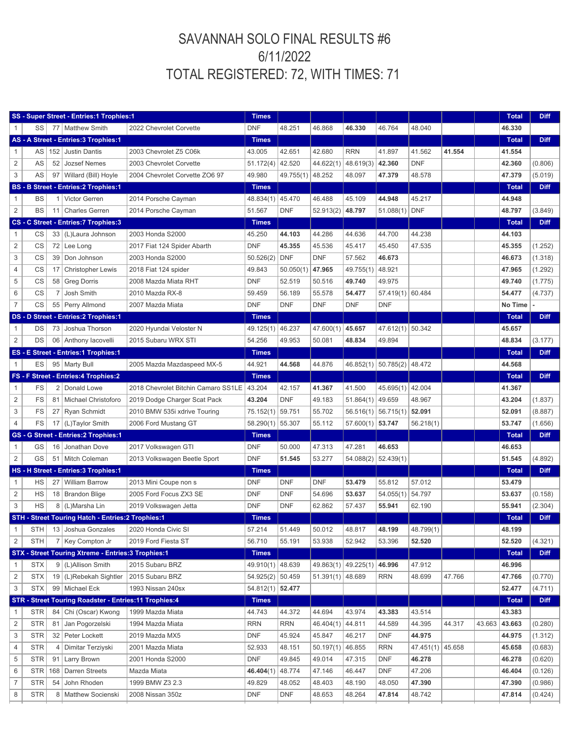## SAVANNAH SOLO FINAL RESULTS #6 6/11/2022 TOTAL REGISTERED: 72, WITH TIMES: 71

| SS - Super Street - Entries:1 Trophies:1 |            |                |                                                         | <b>Times</b>                               |                    |            |                    |                            |                                |            |        | <b>Total</b> | <b>Diff</b>  |             |
|------------------------------------------|------------|----------------|---------------------------------------------------------|--------------------------------------------|--------------------|------------|--------------------|----------------------------|--------------------------------|------------|--------|--------------|--------------|-------------|
|                                          | SS         |                | 77   Matthew Smith                                      | 2022 Chevrolet Corvette                    | <b>DNF</b>         | 48.251     | 46.868             | 46.330                     | 46.764                         | 48.040     |        |              | 46.330       |             |
|                                          |            |                | AS - A Street - Entries: 3 Trophies: 1                  |                                            | <b>Times</b>       |            |                    |                            |                                |            |        |              | <b>Total</b> | <b>Diff</b> |
| 1                                        | AS         |                | 152 Justin Dantis                                       | 2003 Chevrolet Z5 C06k                     | 43.005             | 42.651     | 42.680             | <b>RRN</b>                 | 41.897                         | 41.562     | 41.554 |              | 41.554       |             |
| $\overline{c}$                           | AS         | 52             | Jozsef Nemes                                            | 2003 Chevrolet Corvette                    | 51.172(4)          | 42.520     | 44.622(1)          | $48.619(3)$ 42.360         |                                | <b>DNF</b> |        |              | 42.360       | (0.806)     |
| 3                                        | AS         |                | 97   Willard (Bill) Hoyle                               | 2004 Chevrolet Corvette ZO6 97             | 49.980             | 49.755(1)  | 48.252             | 48.097                     | 47.379                         | 48.578     |        |              | 47.379       | (5.019)     |
|                                          |            |                | <b>BS - B Street - Entries:2 Trophies:1</b>             | <b>Times</b>                               |                    |            |                    |                            |                                |            |        | <b>Total</b> | <b>Diff</b>  |             |
| 1                                        | BS         | 1              | Victor Gerren                                           | 2014 Porsche Cayman                        | 48.834(1)          | 45.470     | 46.488             | 45.109                     | 44.948                         | 45.217     |        |              | 44.948       |             |
| $\overline{c}$                           | <b>BS</b>  |                | 11   Charles Gerren                                     | 2014 Porsche Cayman                        | 51.567             | <b>DNF</b> | 52.913(2)          | 48.797                     | 51.088(1)                      | <b>DNF</b> |        |              | 48.797       | (3.849)     |
|                                          |            |                | CS - C Street - Entries: 7 Trophies: 3                  |                                            | <b>Times</b>       |            |                    |                            |                                |            |        |              | <b>Total</b> | <b>Diff</b> |
| 1                                        | CS         |                | 33   (L) Laura Johnson                                  | 2003 Honda S2000                           | 45.250             | 44.103     | 44.286             | 44.636                     | 44.700                         | 44.238     |        |              | 44.103       |             |
| $\overline{2}$                           | CS         | 72             | Lee Long                                                | 2017 Fiat 124 Spider Abarth                | <b>DNF</b>         | 45.355     | 45.536             | 45.417                     | 45.450                         | 47.535     |        |              | 45.355       | (1.252)     |
| 3                                        | CS         | 39             | Don Johnson                                             | 2003 Honda S2000                           | 50.526(2)          | <b>DNF</b> | <b>DNF</b>         | 57.562                     | 46.673                         |            |        |              | 46.673       | (1.318)     |
| 4                                        | CS         |                | 17   Christopher Lewis                                  | 2018 Fiat 124 spider                       | 49.843             | 50.050(1)  | 47.965             | 49.755(1)                  | 48.921                         |            |        |              | 47.965       | (1.292)     |
| 5                                        | CS         |                | 58 Greg Dorris                                          | 2008 Mazda Miata RHT                       | <b>DNF</b>         | 52.519     | 50.516             | 49.740                     | 49.975                         |            |        |              | 49.740       | (1.775)     |
| 6                                        | CS         | $\overline{7}$ | Josh Smith                                              | 2010 Mazda RX-8                            | 59.459             | 56.189     | 55.578             | 54.477                     | 57.419(1) 60.484               |            |        |              | 54.477       | (4.737)     |
| $\overline{7}$                           | CS         |                | 55 Perry Allmond                                        | 2007 Mazda Miata                           | <b>DNF</b>         | <b>DNF</b> | <b>DNF</b>         | <b>DNF</b>                 | <b>DNF</b>                     |            |        |              | No Time      |             |
|                                          |            |                | DS - D Street - Entries: 2 Trophies: 1                  |                                            | <b>Times</b>       |            |                    |                            |                                |            |        |              | <b>Total</b> | <b>Diff</b> |
| 1                                        | DS         |                | 73 Joshua Thorson                                       | 2020 Hyundai Veloster N                    | 49.125(1)          | 46.237     | 47.600(1)          | 45.657                     | 47.612(1) 50.342               |            |        |              | 45.657       |             |
| $\overline{c}$                           | DS         |                | 06 Anthony Iacovelli                                    | 2015 Subaru WRX STI                        | 54.256             | 49.953     | 50.081             | 48.834                     | 49.894                         |            |        |              | 48.834       | (3.177)     |
|                                          |            |                | ES - E Street - Entries: 1 Trophies: 1                  |                                            | <b>Times</b>       |            |                    |                            |                                |            |        |              | <b>Total</b> | <b>Diff</b> |
|                                          | ES         |                | 95   Marty Bull                                         | 2005 Mazda Mazdaspeed MX-5                 | 44.921             | 44.568     | 44.876             |                            | 46.852(1)   50.785(2)   48.472 |            |        |              | 44.568       |             |
|                                          |            |                | FS - F Street - Entries: 4 Trophies: 2                  |                                            | <b>Times</b>       |            |                    |                            |                                |            |        |              | <b>Total</b> | <b>Diff</b> |
| 1                                        | FS         |                | 2 Donald Lowe                                           | 2018 Chevrolet Bitchin Camaro SS1LE        | 43.204             | 42.157     | 41.367             | 41.500                     | 45.695(1) 42.004               |            |        |              | 41.367       |             |
| $\overline{c}$                           | FS         |                | 81   Michael Christoforo                                | 2019 Dodge Charger Scat Pack               | 43.204             | <b>DNF</b> | 49.183             | $51.864(1)$ 49.659         |                                | 48.967     |        |              | 43.204       | (1.837)     |
| 3                                        | <b>FS</b>  |                | 27 Ryan Schmidt                                         | 2010 BMW 535i xdrive Touring               | 75.152(1)          | 59.751     | 55.702             | $56.516(1)$ 56.715(1)      |                                | 52.091     |        |              | 52.091       | (8.887)     |
| 4                                        | <b>FS</b>  |                | 17   (L)Taylor Smith                                    | 2006 Ford Mustang GT                       | 58.290(1)          | 55.307     | 55.112             | $57.600(1)$ 53.747         |                                | 56.218(1)  |        |              | 53.747       | (1.656)     |
|                                          |            |                | GS - G Street - Entries: 2 Trophies: 1                  |                                            | <b>Times</b>       |            |                    |                            |                                |            |        |              | <b>Total</b> | <b>Diff</b> |
| 1                                        | GS         |                | 16 Jonathan Dove                                        | 2017 Volkswagen GTI                        | <b>DNF</b>         | 50.000     | 47.313             | 47.281                     | 46.653                         |            |        |              | 46.653       |             |
| $\overline{c}$                           | GS         |                | 51   Mitch Coleman                                      | 2013 Volkswagen Beetle Sport               | <b>DNF</b>         | 51.545     | 53.277             | $54.088(2)$ 52.439(1)      |                                |            |        |              | 51.545       | (4.892)     |
|                                          |            |                | HS - H Street - Entries: 3 Trophies: 1                  |                                            | <b>Times</b>       |            |                    |                            |                                |            |        |              | <b>Total</b> | <b>Diff</b> |
| 1                                        | <b>HS</b>  |                | 27 William Barrow                                       | 2013 Mini Coupe non s                      | <b>DNF</b>         | <b>DNF</b> | DNF                | 53.479                     | 55.812                         | 57.012     |        |              | 53.479       |             |
| 2                                        | HS         |                | 18   Brandon Blige                                      | 2005 Ford Focus ZX3 SE                     | <b>DNF</b>         | <b>DNF</b> | 54.696             | 53.637                     | 54.055(1)                      | 54.797     |        |              | 53.637       | (0.158)     |
| 3                                        | <b>HS</b>  |                | 8 (L)Marsha Lin                                         |                                            | <b>DNF</b>         | <b>DNF</b> | 62.862             | 57.437                     | 55.941                         | 62.190     |        |              | 55.941       | (2.304)     |
|                                          |            |                |                                                         | 2019 Volkswagen Jetta                      |                    |            |                    |                            |                                |            |        |              |              | <b>Diff</b> |
|                                          |            |                | STH - Street Touring Hatch - Entries: 2 Trophies: 1     | STH 13 Joshua Gonzales 2020 Honda Civic SI | <b>Times</b>       |            |                    |                            |                                | 48.799(1)  |        |              | <b>Total</b> |             |
| 1                                        |            |                |                                                         |                                            | 57.214             | 51.449     | 50.012             | 48.817                     | 48.199                         |            |        |              | 48.199       |             |
| 2                                        | <b>STH</b> |                | 7   Key Compton Jr                                      | 2019 Ford Fiesta ST                        | 56.710             | 55.191     | 53.938             | 52.942                     | 53.396                         | 52.520     |        |              | 52.520       | (4.321)     |
|                                          |            |                | STX - Street Touring Xtreme - Entries: 3 Trophies: 1    |                                            | <b>Times</b>       |            |                    |                            |                                |            |        |              | <b>Total</b> | <b>Diff</b> |
| 1                                        | <b>STX</b> |                | 9 (L)Allison Smith                                      | 2015 Subaru BRZ                            | 49.910(1)          | 48.639     |                    | 49.863(1) 49.225(1) 46.996 |                                | 47.912     |        |              | 46.996       |             |
| $\overline{2}$                           | <b>STX</b> |                | 19 (L)Rebekah Sightler                                  | 2015 Subaru BRZ                            | 54.925(2) 50.459   |            | $51.391(1)$ 48.689 |                            | <b>RRN</b>                     | 48.699     | 47.766 |              | 47.766       | (0.770)     |
| 3                                        | <b>STX</b> |                | 99   Michael Eck                                        | 1993 Nissan 240sx                          | $54.812(1)$ 52.477 |            |                    |                            |                                |            |        |              | 52.477       | (4.711)     |
|                                          |            |                | STR - Street Touring Roadster - Entries: 11 Trophies: 4 |                                            | <b>Times</b>       |            |                    |                            |                                |            |        |              | <b>Total</b> | <b>Diff</b> |
| 1                                        | <b>STR</b> | 84             | Chi (Oscar) Kwong                                       | 1999 Mazda Miata                           | 44.743             | 44.372     | 44.694             | 43.974                     | 43.383                         | 43.514     |        |              | 43.383       |             |
| 2                                        | <b>STR</b> |                | 81 Jan Pogorzelski                                      | 1994 Mazda Miata                           | <b>RRN</b>         | RRN        | 46.404(1)          | 44.811                     | 44.589                         | 44.395     | 44.317 | 43.663       | 43.663       | (0.280)     |
| 3                                        | <b>STR</b> |                | 32 Peter Lockett                                        | 2019 Mazda MX5                             | <b>DNF</b>         | 45.924     | 45.847             | 46.217                     | <b>DNF</b>                     | 44.975     |        |              | 44.975       | (1.312)     |
| 4                                        | <b>STR</b> | 4              | Dimitar Terziyski                                       | 2001 Mazda Miata                           | 52.933             | 48.151     | 50.197(1)          | 46.855                     | <b>RRN</b>                     | 47.451(1)  | 45.658 |              | 45.658       | (0.683)     |
| 5                                        | <b>STR</b> | 91             | <b>Larry Brown</b>                                      | 2001 Honda S2000                           | <b>DNF</b>         | 49.845     | 49.014             | 47.315                     | <b>DNF</b>                     | 46.278     |        |              | 46.278       | (0.620)     |
| 6                                        | <b>STR</b> |                | 168 Darren Streets                                      | Mazda Miata                                | 46.404(1)          | 48.774     | 47.146             | 46.447                     | <b>DNF</b>                     | 47.206     |        |              | 46.404       | (0.126)     |
| $\overline{7}$                           | <b>STR</b> | 54             | John Rhoden                                             | 1999 BMW Z3 2.3                            | 49.829             | 48.052     | 48.403             | 48.190                     | 48.050                         | 47.390     |        |              | 47.390       | (0.986)     |
| 8                                        | <b>STR</b> |                | 8   Matthew Socienski                                   | 2008 Nissan 350z                           | <b>DNF</b>         | <b>DNF</b> | 48.653             | 48.264                     | 47.814                         | 48.742     |        |              | 47.814       | (0.424)     |
|                                          |            |                |                                                         |                                            |                    |            |                    |                            |                                |            |        |              |              |             |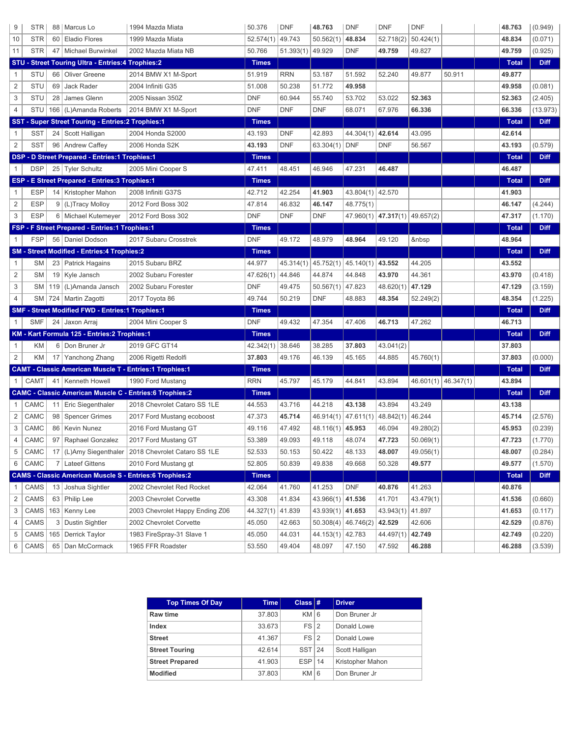| 9              | <b>STR</b> |    | 88   Marcus Lo                                                 | 1994 Mazda Miata                                               | 50.376       | <b>DNF</b> | 48.763             | <b>DNF</b>                     | <b>DNF</b>                                        | <b>DNF</b> |                         | 48.763       | (0.949)     |
|----------------|------------|----|----------------------------------------------------------------|----------------------------------------------------------------|--------------|------------|--------------------|--------------------------------|---------------------------------------------------|------------|-------------------------|--------------|-------------|
| 10             | <b>STR</b> |    | 60 Eladio Flores                                               | 1999 Mazda Miata                                               | 52.574(1)    | 49.743     | 50.562(1)          | 48.834                         | 52.718(2)                                         | 50.424(1)  |                         | 48.834       | (0.071)     |
| 11             | <b>STR</b> |    | 47   Michael Burwinkel                                         | 2002 Mazda Miata NB                                            | 50.766       | 51.393(1)  | 49.929             | <b>DNF</b>                     | 49.759                                            | 49.827     |                         | 49.759       | (0.925)     |
|                |            |    | STU - Street Touring Ultra - Entries: 4 Trophies: 2            |                                                                | <b>Times</b> |            |                    |                                |                                                   |            |                         | <b>Total</b> | <b>Diff</b> |
| 1              | STU        |    | 66 Oliver Greene                                               | 2014 BMW X1 M-Sport                                            | 51.919       | <b>RRN</b> | 53.187             | 51.592                         | 52.240                                            | 49.877     | 50.911                  | 49.877       |             |
| $\overline{c}$ | <b>STU</b> | 69 | Jack Rader                                                     | 2004 Infiniti G35                                              | 51.008       | 50.238     | 51.772             | 49.958                         |                                                   |            |                         | 49.958       | (0.081)     |
| 3              | STU        |    | 28 James Glenn                                                 | 2005 Nissan 350Z                                               | <b>DNF</b>   | 60.944     | 55.740             | 53.702                         | 53.022                                            | 52.363     |                         | 52.363       | (2.405)     |
| $\overline{4}$ | STU        |    | 166 (L)Amanda Roberts                                          | 2014 BMW X1 M-Sport                                            | <b>DNF</b>   | <b>DNF</b> | <b>DNF</b>         | 68.071                         | 67.976                                            | 66.336     |                         | 66.336       | (13.973)    |
|                |            |    | SST - Super Street Touring - Entries: 2 Trophies: 1            |                                                                | <b>Times</b> |            |                    |                                |                                                   |            |                         | <b>Total</b> | <b>Diff</b> |
| 1              | <b>SST</b> |    | 24 Scott Halligan                                              | 2004 Honda S2000                                               | 43.193       | <b>DNF</b> | 42.893             | 44.304(1) 42.614               |                                                   | 43.095     |                         | 42.614       |             |
| $\overline{2}$ | <b>SST</b> |    | 96   Andrew Caffey                                             | 2006 Honda S2K                                                 | 43.193       | <b>DNF</b> | 63.304(1)          | <b>DNF</b>                     | <b>DNF</b>                                        | 56.567     |                         | 43.193       | (0.579)     |
|                |            |    | DSP - D Street Prepared - Entries:1 Trophies:1                 |                                                                | <b>Times</b> |            |                    |                                |                                                   |            |                         | <b>Total</b> | <b>Diff</b> |
| 1              | <b>DSP</b> |    | 25 Tyler Schultz                                               | 2005 Mini Cooper S                                             | 47.411       | 48.451     | 46.946             | 47.231                         | 46.487                                            |            |                         | 46.487       |             |
|                |            |    | ESP - E Street Prepared - Entries:3 Trophies:1                 |                                                                | <b>Times</b> |            |                    |                                |                                                   |            |                         | <b>Total</b> | <b>Diff</b> |
| 1              | <b>ESP</b> |    | 14   Kristopher Mahon                                          | 2008 Infiniti G37S                                             | 42.712       | 42.254     | 41.903             | 43.804(1) 42.570               |                                                   |            |                         | 41.903       |             |
| $\overline{2}$ | <b>ESP</b> |    | 9 (L)Tracy Molloy                                              | 2012 Ford Boss 302                                             | 47.814       | 46.832     | 46.147             | 48.775(1)                      |                                                   |            |                         | 46.147       | (4.244)     |
| 3              | <b>ESP</b> |    | 6   Michael Kutemeyer                                          | 2012 Ford Boss 302                                             | <b>DNF</b>   | <b>DNF</b> | <b>DNF</b>         |                                | $47.960(1)$ $\mid$ $47.317(1)$ $\mid$ $49.657(2)$ |            |                         | 47.317       | (1.170)     |
|                |            |    | FSP - F Street Prepared - Entries:1 Trophies:1                 |                                                                | <b>Times</b> |            |                    |                                |                                                   |            |                         | <b>Total</b> | <b>Diff</b> |
| 1              | <b>FSP</b> |    | 56 Daniel Dodson                                               | 2017 Subaru Crosstrek                                          | <b>DNF</b>   | 49.172     | 48.979             | 48.964                         | 49.120                                            |            |                         | 48.964       |             |
|                |            |    | SM - Street Modified - Entries: 4 Trophies: 2                  |                                                                | <b>Times</b> |            |                    |                                |                                                   |            |                         | <b>Total</b> | <b>Diff</b> |
| 1              | <b>SM</b>  |    | 23   Patrick Hagains                                           | 2015 Subaru BRZ                                                | 44.977       | 45.314(1)  | 45.752(1)          | 45.140(1)                      | 43.552                                            | 44.205     |                         | 43.552       |             |
| $\overline{2}$ | <b>SM</b>  |    | 19 Kyle Jansch                                                 | 2002 Subaru Forester                                           | 47.626(1)    | 44.846     | 44.874             | 44.848                         | 43.970                                            | 44.361     |                         | 43.970       | (0.418)     |
| 3              | <b>SM</b>  |    | 119   (L)Amanda Jansch                                         | 2002 Subaru Forester                                           | <b>DNF</b>   | 49.475     | $50.567(1)$ 47.823 |                                | 48.620(1)                                         | 47.129     |                         | 47.129       | (3.159)     |
| $\overline{4}$ |            |    | SM   724   Martin Zagotti                                      | 2017 Toyota 86                                                 | 49.744       | 50.219     | <b>DNF</b>         | 48.883                         | 48.354                                            | 52.249(2)  |                         | 48.354       | (1.225)     |
|                |            |    | SMF - Street Modified FWD - Entries:1 Trophies:1               |                                                                | <b>Times</b> |            |                    |                                |                                                   |            |                         | <b>Total</b> | <b>Diff</b> |
| 1              | <b>SMF</b> |    | 24 Jaxon Arraj                                                 | 2004 Mini Cooper S                                             | <b>DNF</b>   | 49.432     | 47.354             | 47.406                         | 46.713                                            | 47.262     |                         | 46.713       |             |
|                |            |    | KM - Kart Formula 125 - Entries: 2 Trophies: 1                 |                                                                | <b>Times</b> |            |                    |                                |                                                   |            |                         | <b>Total</b> | <b>Diff</b> |
| 1              | KM         |    | 6 Don Bruner Jr                                                | 2019 GFC GT14                                                  | 42.342(1)    | 38.646     | 38.285             | 37.803                         | 43.041(2)                                         |            |                         | 37.803       |             |
| $\overline{2}$ | ΚM         |    | 17 Yanchong Zhang                                              | 2006 Rigetti Redolfi                                           | 37.803       | 49.176     | 46.139             | 45.165                         | 44.885                                            | 45.760(1)  |                         | 37.803       | (0.000)     |
|                |            |    | <b>CAMT - Classic American Muscle T - Entries:1 Trophies:1</b> |                                                                | <b>Times</b> |            |                    |                                |                                                   |            |                         | <b>Total</b> | <b>Diff</b> |
| $\mathbf{1}$   | CAMT       |    | 41   Kenneth Howell                                            | 1990 Ford Mustang                                              | <b>RRN</b>   | 45.797     | 45.179             | 44.841                         | 43.894                                            |            | $46.601(1)$ $46.347(1)$ | 43.894       |             |
|                |            |    |                                                                | <b>CAMC - Classic American Muscle C - Entries:6 Trophies:2</b> | <b>Times</b> |            |                    |                                |                                                   |            |                         | <b>Total</b> | <b>Diff</b> |
| 1              | CAMC       |    | 11 Eric Siegenthaler                                           | 2018 Chevrolet Cataro SS 1LE                                   | 44.553       | 43.716     | 44.218             | 43.138                         | 43.894                                            | 43.249     |                         | 43.138       |             |
| 2              | CAMC       |    | 98   Spencer Grimes                                            | 2017 Ford Mustang ecoboost                                     | 47.373       | 45.714     | 46.914(1)          | 47.611(1) 48.842(1)            |                                                   | 46.244     |                         | 45.714       | (2.576)     |
| 3              | CAMC       |    | 86   Kevin Nunez                                               | 2016 Ford Mustang GT                                           | 49.116       | 47.492     | $48.116(1)$ 45.953 |                                | 46.094                                            | 49.280(2)  |                         | 45.953       | (0.239)     |
|                | CAMC       |    | 97 Raphael Gonzalez                                            | 2017 Ford Mustang GT                                           | 53.389       | 49.093     | 49.118             | 48.074                         | 47.723                                            | 50.069(1)  |                         | 47.723       | (1.770)     |
| 5              | CAMC       |    | 17   (L)Amy Siegenthaler                                       | 2018 Chevrolet Cataro SS 1LE                                   | 52.533       | 50.153     | 50.422             | 48.133                         | 48.007                                            | 49.056(1)  |                         | 48.007       | (0.284)     |
| 6              | CAMC       |    | 7 Lateef Gittens                                               | 2010 Ford Mustang gt                                           | 52.805       | 50.839     | 49.838             | 49.668                         | 50.328                                            | 49.577     |                         | 49.577       | (1.570)     |
|                |            |    |                                                                | <b>CAMS - Classic American Muscle S - Entries:6 Trophies:2</b> | <b>Times</b> |            |                    |                                |                                                   |            |                         | <b>Total</b> | <b>Diff</b> |
| 1              | CAMS       |    | 13 Joshua Sightler                                             | 2002 Chevrolet Red Rocket                                      | 42.064       | 41.760     | 41.253             | DNF                            | 40.876                                            | 41.263     |                         | 40.876       |             |
| 2              | CAMS       |    | 63 Philip Lee                                                  | 2003 Chevrolet Corvette                                        | 43.308       | 41.834     | $43.966(1)$ 41.536 |                                | 41.701                                            | 43.479(1)  |                         | 41.536       | (0.660)     |
| 3              | CAMS       |    | 163   Kenny Lee                                                | 2003 Chevrolet Happy Ending Z06                                | 44.327(1)    | 41.839     | $43.939(1)$ 41.653 |                                | 43.943(1)                                         | 41.897     |                         | 41.653       | (0.117)     |
| 4              | CAMS       |    | 3 Dustin Sightler                                              | 2002 Chevrolet Corvette                                        | 45.050       | 42.663     |                    | 50.308(4)   46.746(2)   42.529 |                                                   | 42.606     |                         | 42.529       | (0.876)     |
| 5              | CAMS       |    | 165   Derrick Taylor                                           | 1983 FireSpray-31 Slave 1                                      | 45.050       | 44.031     | 44.153(1) 42.783   |                                | 44.497(1)                                         | 42.749     |                         | 42.749       | (0.220)     |
| 6              | CAMS       |    | 65   Dan McCormack                                             | 1965 FFR Roadster                                              | 53.550       | 49.404     | 48.097             | 47.150                         | 47.592                                            | 46.288     |                         | 46.288       | (3.539)     |

| <b>Top Times Of Day</b> | <b>Time</b> | Class $#$  | <b>Driver</b>    |
|-------------------------|-------------|------------|------------------|
| Raw time                | 37.803      | $KM$ 6     | Don Bruner Jr    |
| Index                   | 33.673      | $FS$  2    | Donald Lowe      |
| <b>Street</b>           | 41.367      | $FS$  2    | Donald Lowe      |
| <b>Street Touring</b>   | 42.614      | $SST$   24 | Scott Halligan   |
| <b>Street Prepared</b>  | 41.903      | $ESP$ 14   | Kristopher Mahon |
| <b>Modified</b>         | 37.803      | $KM$ 6     | Don Bruner Jr    |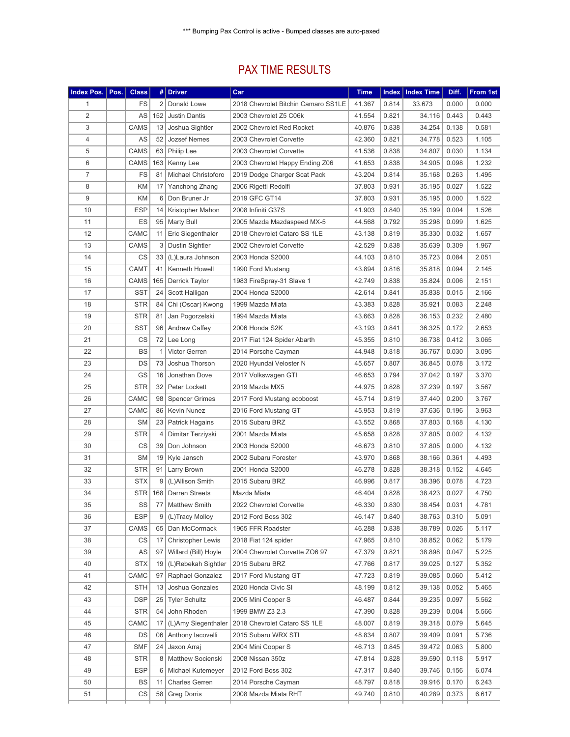## PAX TIME RESULTS

| <b>Index Pos.</b> | Pos. | <b>Class</b> | #              | <b>Driver</b>            | Car                                 | <b>Time</b> | Index | <b>Index Time</b> | Diff. | From 1st |
|-------------------|------|--------------|----------------|--------------------------|-------------------------------------|-------------|-------|-------------------|-------|----------|
| 1                 |      | <b>FS</b>    | 2              | Donald Lowe              | 2018 Chevrolet Bitchin Camaro SS1LE | 41.367      | 0.814 | 33.673            | 0.000 | 0.000    |
| $\overline{2}$    |      | AS           | 152            | <b>Justin Dantis</b>     | 2003 Chevrolet Z5 C06k              | 41.554      | 0.821 | 34.116            | 0.443 | 0.443    |
| 3                 |      | CAMS         | 13             | Joshua Sightler          | 2002 Chevrolet Red Rocket           | 40.876      | 0.838 | 34.254            | 0.138 | 0.581    |
| 4                 |      | AS           | 52             | <b>Jozsef Nemes</b>      | 2003 Chevrolet Corvette             | 42.360      | 0.821 | 34.778            | 0.523 | 1.105    |
| 5                 |      | CAMS         |                | 63   Philip Lee          | 2003 Chevrolet Corvette             | 41.536      | 0.838 | 34.807            | 0.030 | 1.134    |
| 6                 |      | CAMS         | 163            | Kenny Lee                | 2003 Chevrolet Happy Ending Z06     | 41.653      | 0.838 | 34.905            | 0.098 | 1.232    |
| $\overline{7}$    |      | FS           | 81             | Michael Christoforo      | 2019 Dodge Charger Scat Pack        | 43.204      | 0.814 | 35.168            | 0.263 | 1.495    |
| 8                 |      | KM           | 17             | Yanchong Zhang           | 2006 Rigetti Redolfi                | 37.803      | 0.931 | 35.195            | 0.027 | 1.522    |
| 9                 |      | KM           | 6              | Don Bruner Jr            | 2019 GFC GT14                       | 37.803      | 0.931 | 35.195            | 0.000 | 1.522    |
| 10                |      | <b>ESP</b>   | 14             | Kristopher Mahon         | 2008 Infiniti G37S                  | 41.903      | 0.840 | 35.199            | 0.004 | 1.526    |
| 11                |      | ES           | 95             | Marty Bull               | 2005 Mazda Mazdaspeed MX-5          | 44.568      | 0.792 | 35.298            | 0.099 | 1.625    |
| 12                |      | CAMC         | 11             | Eric Siegenthaler        | 2018 Chevrolet Cataro SS 1LE        | 43.138      | 0.819 | 35.330            | 0.032 | 1.657    |
| 13                |      | CAMS         | 3              | Dustin Sightler          | 2002 Chevrolet Corvette             | 42.529      | 0.838 | 35.639            | 0.309 | 1.967    |
| 14                |      | CS           | 33             | (L)Laura Johnson         | 2003 Honda S2000                    | 44.103      | 0.810 | 35.723            | 0.084 | 2.051    |
| 15                |      | CAMT         | 41             | Kenneth Howell           | 1990 Ford Mustang                   | 43.894      | 0.816 | 35.818            | 0.094 | 2.145    |
| 16                |      | CAMS         | 165            | Derrick Taylor           | 1983 FireSpray-31 Slave 1           | 42.749      | 0.838 | 35.824            | 0.006 | 2.151    |
| 17                |      | <b>SST</b>   | 24             | Scott Halligan           | 2004 Honda S2000                    | 42.614      | 0.841 | 35.838            | 0.015 | 2.166    |
| 18                |      | <b>STR</b>   | 84             | Chi (Oscar) Kwong        | 1999 Mazda Miata                    | 43.383      | 0.828 | 35.921            | 0.083 | 2.248    |
| 19                |      | <b>STR</b>   | 81             | Jan Pogorzelski          | 1994 Mazda Miata                    | 43.663      | 0.828 | 36.153            | 0.232 | 2.480    |
| 20                |      | <b>SST</b>   | 96             | Andrew Caffey            | 2006 Honda S2K                      | 43.193      | 0.841 | 36.325            | 0.172 | 2.653    |
| 21                |      | CS           | 72             | Lee Long                 | 2017 Fiat 124 Spider Abarth         | 45.355      | 0.810 | 36.738            | 0.412 | 3.065    |
| 22                |      | BS           | $\mathbf{1}$   | Victor Gerren            | 2014 Porsche Cayman                 | 44.948      | 0.818 | 36.767            | 0.030 | 3.095    |
| 23                |      | DS           | 73             |                          |                                     |             |       |                   |       | 3.172    |
|                   |      |              |                | Joshua Thorson           | 2020 Hyundai Veloster N             | 45.657      | 0.807 | 36.845            | 0.078 |          |
| 24                |      | GS           | 16             | Jonathan Dove            | 2017 Volkswagen GTI                 | 46.653      | 0.794 | 37.042            | 0.197 | 3.370    |
| 25                |      | <b>STR</b>   | 32             | Peter Lockett            | 2019 Mazda MX5                      | 44.975      | 0.828 | 37.239            | 0.197 | 3.567    |
| 26                |      | CAMC         | 98             | <b>Spencer Grimes</b>    | 2017 Ford Mustang ecoboost          | 45.714      | 0.819 | 37.440            | 0.200 | 3.767    |
| 27                |      | CAMC         | 86             | Kevin Nunez              | 2016 Ford Mustang GT                | 45.953      | 0.819 | 37.636            | 0.196 | 3.963    |
| 28                |      | <b>SM</b>    | 23             | Patrick Hagains          | 2015 Subaru BRZ                     | 43.552      | 0.868 | 37.803            | 0.168 | 4.130    |
| 29                |      | <b>STR</b>   | 4              | Dimitar Terziyski        | 2001 Mazda Miata                    | 45.658      | 0.828 | 37.805            | 0.002 | 4.132    |
| 30                |      | CS           | 39             | Don Johnson              | 2003 Honda S2000                    | 46.673      | 0.810 | 37.805            | 0.000 | 4.132    |
| 31                |      | <b>SM</b>    | 19             | Kyle Jansch              | 2002 Subaru Forester                | 43.970      | 0.868 | 38.166            | 0.361 | 4.493    |
| 32                |      | <b>STR</b>   |                | 91   Larry Brown         | 2001 Honda S2000                    | 46.278      | 0.828 | 38.318            | 0.152 | 4.645    |
| 33                |      | <b>STX</b>   | 9              | (L)Allison Smith         | 2015 Subaru BRZ                     | 46.996      | 0.817 | 38.396            | 0.078 | 4.723    |
| 34                |      | <b>STR</b>   | 168            | <b>Darren Streets</b>    | Mazda Miata                         | 46.404      | 0.828 | 38.423            | 0.027 | 4.750    |
| 35                |      | SS           | 77             | Matthew Smith            | 2022 Chevrolet Corvette             | 46.330      | 0.830 | 38.454            | 0.031 | 4.781    |
| 36                |      | <b>ESP</b>   | 9              | (L)Tracy Molloy          | 2012 Ford Boss 302                  | 46.147      | 0.840 | 38.763            | 0.310 | 5.091    |
| 37                |      | CAMS         | 65             | Dan McCormack            | 1965 FFR Roadster                   | 46.288      | 0.838 | 38.789            | 0.026 | 5.117    |
| 38                |      | CS           | 17             | <b>Christopher Lewis</b> | 2018 Fiat 124 spider                | 47.965      | 0.810 | 38.852            | 0.062 | 5.179    |
| 39                |      | AS           | 97             | Willard (Bill) Hoyle     | 2004 Chevrolet Corvette ZO6 97      | 47.379      | 0.821 | 38.898            | 0.047 | 5.225    |
| 40                |      | STX          |                | 19 (L)Rebekah Sightler   | 2015 Subaru BRZ                     | 47.766      | 0.817 | 39.025            | 0.127 | 5.352    |
| 41                |      | CAMC         | 97             | Raphael Gonzalez         | 2017 Ford Mustang GT                | 47.723      | 0.819 | 39.085            | 0.060 | 5.412    |
| 42                |      | STH          | 13             | Joshua Gonzales          | 2020 Honda Civic SI                 | 48.199      | 0.812 | 39.138            | 0.052 | 5.465    |
| 43                |      | <b>DSP</b>   | 25             | <b>Tyler Schultz</b>     | 2005 Mini Cooper S                  | 46.487      | 0.844 | 39.235            | 0.097 | 5.562    |
| 44                |      | <b>STR</b>   | 54             | John Rhoden              | 1999 BMW Z3 2.3                     | 47.390      | 0.828 | 39.239            | 0.004 | 5.566    |
| 45                |      | CAMC         | 17             | (L)Amy Siegenthaler      | 2018 Chevrolet Cataro SS 1LE        | 48.007      | 0.819 | 39.318            | 0.079 | 5.645    |
| 46                |      | DS           | 06             | Anthony lacovelli        | 2015 Subaru WRX STI                 | 48.834      | 0.807 | 39.409            | 0.091 | 5.736    |
| 47                |      | <b>SMF</b>   | 24             | Jaxon Arraj              | 2004 Mini Cooper S                  | 46.713      | 0.845 | 39.472            | 0.063 | 5.800    |
| 48                |      | STR          | 8 <sup>1</sup> | Matthew Socienski        | 2008 Nissan 350z                    | 47.814      | 0.828 | 39.590            | 0.118 | 5.917    |
| 49                |      | <b>ESP</b>   | 6              | Michael Kutemeyer        | 2012 Ford Boss 302                  | 47.317      | 0.840 | 39.746            | 0.156 | 6.074    |
| 50                |      | BS           | 11             | <b>Charles Gerren</b>    | 2014 Porsche Cayman                 | 48.797      | 0.818 | 39.916            | 0.170 | 6.243    |
| 51                |      | СS           | 58             | <b>Greg Dorris</b>       | 2008 Mazda Miata RHT                | 49.740      | 0.810 | 40.289            | 0.373 | 6.617    |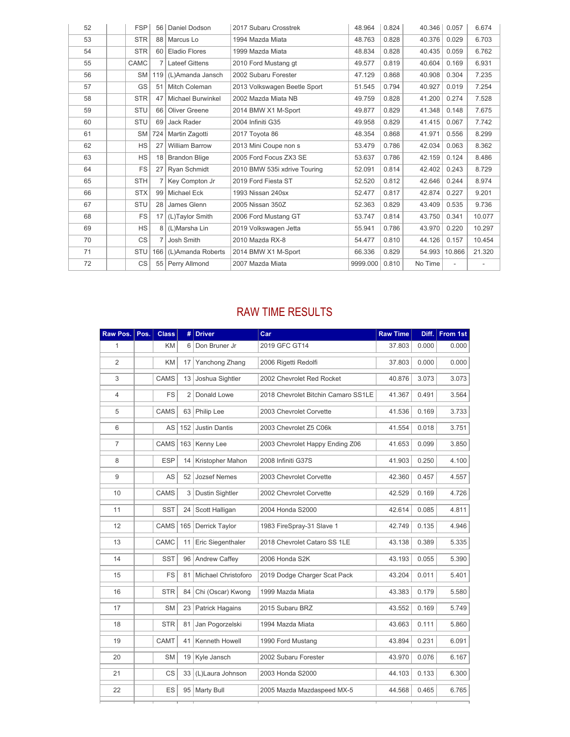| 52 | <b>FSP</b> |                | 56   Daniel Dodson       | 2017 Subaru Crosstrek        | 48.964   | 0.824 | 40.346  | 0.057  | 6.674  |
|----|------------|----------------|--------------------------|------------------------------|----------|-------|---------|--------|--------|
| 53 | <b>STR</b> |                | 88   Marcus Lo           | 1994 Mazda Miata             | 48.763   | 0.828 | 40.376  | 0.029  | 6.703  |
| 54 | <b>STR</b> |                | 60 Eladio Flores         | 1999 Mazda Miata             | 48.834   | 0.828 | 40.435  | 0.059  | 6.762  |
| 55 | CAMC       |                | <b>Lateef Gittens</b>    | 2010 Ford Mustang gt         | 49.577   | 0.819 | 40.604  | 0.169  | 6.931  |
| 56 | <b>SM</b>  |                | 119 (L)Amanda Jansch     | 2002 Subaru Forester         | 47.129   | 0.868 | 40.908  | 0.304  | 7.235  |
| 57 | GS         | 51             | Mitch Coleman            | 2013 Volkswagen Beetle Sport | 51.545   | 0.794 | 40.927  | 0.019  | 7.254  |
| 58 | <b>STR</b> | 47             | <b>Michael Burwinkel</b> | 2002 Mazda Miata NB          | 49.759   | 0.828 | 41.200  | 0.274  | 7.528  |
| 59 | STU        | 66             | Oliver Greene            | 2014 BMW X1 M-Sport          | 49.877   | 0.829 | 41.348  | 0.148  | 7.675  |
| 60 | STU        | 69             | Jack Rader               | 2004 Infiniti G35            | 49.958   | 0.829 | 41.415  | 0.067  | 7.742  |
| 61 | <b>SM</b>  |                | 724   Martin Zagotti     | 2017 Toyota 86               | 48.354   | 0.868 | 41.971  | 0.556  | 8.299  |
| 62 | <b>HS</b>  | 27             | <b>William Barrow</b>    | 2013 Mini Coupe non s        | 53.479   | 0.786 | 42.034  | 0.063  | 8.362  |
| 63 | <b>HS</b>  | 18             | <b>Brandon Blige</b>     | 2005 Ford Focus ZX3 SE       | 53.637   | 0.786 | 42.159  | 0.124  | 8.486  |
| 64 | <b>FS</b>  | 27             | Rvan Schmidt             | 2010 BMW 535i xdrive Touring | 52.091   | 0.814 | 42.402  | 0.243  | 8.729  |
| 65 | <b>STH</b> | 7 <sup>1</sup> | Key Compton Jr           | 2019 Ford Fiesta ST          | 52.520   | 0.812 | 42.646  | 0.244  | 8.974  |
| 66 | <b>STX</b> |                | 99 Michael Eck           | 1993 Nissan 240sx            | 52.477   | 0.817 | 42.874  | 0.227  | 9.201  |
| 67 | STU        | 28             | James Glenn              | 2005 Nissan 350Z             | 52.363   | 0.829 | 43.409  | 0.535  | 9.736  |
| 68 | <b>FS</b>  | 17             | (L)Taylor Smith          | 2006 Ford Mustang GT         | 53.747   | 0.814 | 43.750  | 0.341  | 10.077 |
| 69 | <b>HS</b>  |                | 8 (L)Marsha Lin          | 2019 Volkswagen Jetta        | 55.941   | 0.786 | 43.970  | 0.220  | 10.297 |
| 70 | <b>CS</b>  | 7              | Josh Smith               | 2010 Mazda RX-8              | 54.477   | 0.810 | 44.126  | 0.157  | 10.454 |
| 71 | <b>STU</b> | 166            | (L)Amanda Roberts        | 2014 BMW X1 M-Sport          | 66.336   | 0.829 | 54.993  | 10.866 | 21.320 |
| 72 | <b>CS</b>  |                | 55 Perry Allmond         | 2007 Mazda Miata             | 9999.000 | 0.810 | No Time |        |        |

## RAW TIME RESULTS

| Raw Pos.       | Pos. | <b>Class</b> | #              | <b>Driver</b>          | Car                                 | <b>Raw Time</b> | Diff. | From 1st |
|----------------|------|--------------|----------------|------------------------|-------------------------------------|-----------------|-------|----------|
| 1              |      | KM           | 6              | Don Bruner Jr          | 2019 GFC GT14                       | 37.803          | 0.000 | 0.000    |
| $\overline{2}$ |      | KM           | 17             | Yanchong Zhang         | 2006 Rigetti Redolfi                | 37.803          | 0.000 | 0.000    |
| 3              |      | <b>CAMS</b>  | 13             | Joshua Sightler        | 2002 Chevrolet Red Rocket           | 40.876          | 3.073 | 3.073    |
| $\overline{4}$ |      | <b>FS</b>    | $\overline{2}$ | Donald Lowe            | 2018 Chevrolet Bitchin Camaro SS1LE | 41.367          | 0.491 | 3.564    |
| 5              |      | <b>CAMS</b>  | 63             | Philip Lee             | 2003 Chevrolet Corvette             | 41.536          | 0.169 | 3.733    |
| 6              |      | AS           | 152            | <b>Justin Dantis</b>   | 2003 Chevrolet Z5 C06k              | 41.554          | 0.018 | 3.751    |
| $\overline{7}$ |      | CAMS         | 163            | Kenny Lee              | 2003 Chevrolet Happy Ending Z06     | 41.653          | 0.099 | 3.850    |
| 8              |      | <b>ESP</b>   | 14             | Kristopher Mahon       | 2008 Infiniti G37S                  | 41.903          | 0.250 | 4.100    |
| 9              |      | AS           | 52             | <b>Jozsef Nemes</b>    | 2003 Chevrolet Corvette             | 42.360          | 0.457 | 4.557    |
| 10             |      | CAMS         | 3              | <b>Dustin Sightler</b> | 2002 Chevrolet Corvette             | 42.529          | 0.169 | 4.726    |
| 11             |      | <b>SST</b>   | 24             | Scott Halligan         | 2004 Honda S2000                    | 42.614          | 0.085 | 4.811    |
| 12             |      | CAMS         | 165            | Derrick Taylor         | 1983 FireSpray-31 Slave 1           | 42.749          | 0.135 | 4.946    |
| 13             |      | CAMC         | 11             | Eric Siegenthaler      | 2018 Chevrolet Cataro SS 1LE        | 43.138          | 0.389 | 5.335    |
| 14             |      | <b>SST</b>   | 96             | Andrew Caffey          | 2006 Honda S2K                      | 43.193          | 0.055 | 5.390    |
| 15             |      | FS           | 81             | Michael Christoforo    | 2019 Dodge Charger Scat Pack        | 43.204          | 0.011 | 5.401    |
| 16             |      | <b>STR</b>   | 84             | Chi (Oscar) Kwong      | 1999 Mazda Miata                    | 43.383          | 0.179 | 5.580    |
| 17             |      | <b>SM</b>    | 23             | <b>Patrick Hagains</b> | 2015 Subaru BRZ                     | 43.552          | 0.169 | 5.749    |
| 18             |      | <b>STR</b>   | 81             | Jan Pogorzelski        | 1994 Mazda Miata                    | 43.663          | 0.111 | 5.860    |
| 19             |      | CAMT         | 41             | Kenneth Howell         | 1990 Ford Mustang                   | 43.894          | 0.231 | 6.091    |
| 20             |      | <b>SM</b>    | 19             | Kyle Jansch            | 2002 Subaru Forester                | 43.970          | 0.076 | 6.167    |
| 21             |      | CS           | 33             | (L)Laura Johnson       | 2003 Honda S2000                    | 44.103          | 0.133 | 6.300    |
| 22             |      | ES           | 95             | <b>Marty Bull</b>      | 2005 Mazda Mazdaspeed MX-5          | 44.568          | 0.465 | 6.765    |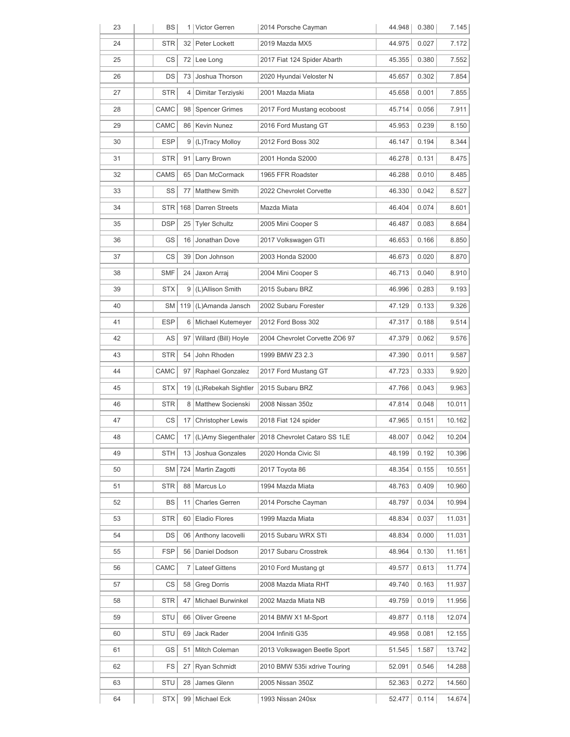| 23 | BS         |                 | 1 Victor Gerren          | 2014 Porsche Cayman                                | 44.948 | 0.380 | 7.145  |
|----|------------|-----------------|--------------------------|----------------------------------------------------|--------|-------|--------|
| 24 | <b>STR</b> | 32              | Peter Lockett            | 2019 Mazda MX5                                     | 44.975 | 0.027 | 7.172  |
| 25 | CS         | 72              | Lee Long                 | 2017 Fiat 124 Spider Abarth                        | 45.355 | 0.380 | 7.552  |
| 26 | DS         | 73              | Joshua Thorson           | 2020 Hyundai Veloster N                            | 45.657 | 0.302 | 7.854  |
| 27 | STR        | 4               | Dimitar Terziyski        | 2001 Mazda Miata                                   | 45.658 | 0.001 | 7.855  |
| 28 | CAMC       | 98              | <b>Spencer Grimes</b>    | 2017 Ford Mustang ecoboost                         | 45.714 | 0.056 | 7.911  |
| 29 | CAMC       | 86              | Kevin Nunez              | 2016 Ford Mustang GT                               | 45.953 | 0.239 | 8.150  |
| 30 | ESP        | 9               | (L)Tracy Molloy          | 2012 Ford Boss 302                                 | 46.147 | 0.194 | 8.344  |
| 31 | STR        | 91              | Larry Brown              | 2001 Honda S2000                                   | 46.278 | 0.131 | 8.475  |
| 32 | CAMS       | 65              | Dan McCormack            | 1965 FFR Roadster                                  | 46.288 | 0.010 | 8.485  |
| 33 | SS         | 77              | <b>Matthew Smith</b>     | 2022 Chevrolet Corvette                            | 46.330 | 0.042 | 8.527  |
| 34 | <b>STR</b> | 168             | <b>Darren Streets</b>    | Mazda Miata                                        | 46.404 | 0.074 | 8.601  |
| 35 | <b>DSP</b> | 25              | <b>Tyler Schultz</b>     | 2005 Mini Cooper S                                 | 46.487 | 0.083 | 8.684  |
| 36 | GS         | 16              | Jonathan Dove            | 2017 Volkswagen GTI                                | 46.653 | 0.166 | 8.850  |
| 37 | СS         | 39              | Don Johnson              | 2003 Honda S2000                                   | 46.673 | 0.020 | 8.870  |
| 38 | <b>SMF</b> | 24              | Jaxon Arraj              | 2004 Mini Cooper S                                 | 46.713 | 0.040 | 8.910  |
| 39 | <b>STX</b> | 9               | (L)Allison Smith         | 2015 Subaru BRZ                                    | 46.996 | 0.283 | 9.193  |
| 40 | SM         | 119             | (L)Amanda Jansch         | 2002 Subaru Forester                               | 47.129 | 0.133 | 9.326  |
| 41 | ESP        | 6               | Michael Kutemeyer        | 2012 Ford Boss 302                                 | 47.317 | 0.188 | 9.514  |
| 42 | AS         | 97              | Willard (Bill) Hoyle     | 2004 Chevrolet Corvette ZO6 97                     | 47.379 | 0.062 | 9.576  |
| 43 | <b>STR</b> | 54              | John Rhoden              | 1999 BMW Z3 2.3                                    | 47.390 | 0.011 | 9.587  |
| 44 | CAMC       | 97              | Raphael Gonzalez         | 2017 Ford Mustang GT                               | 47.723 | 0.333 | 9.920  |
| 45 | <b>STX</b> | 19              | (L)Rebekah Sightler      | 2015 Subaru BRZ                                    | 47.766 | 0.043 | 9.963  |
| 46 | STR        | 8               | <b>Matthew Socienski</b> | 2008 Nissan 350z                                   | 47.814 | 0.048 | 10.011 |
| 47 | СS         | 17 <sup>1</sup> | <b>Christopher Lewis</b> | 2018 Fiat 124 spider                               | 47.965 | 0.151 | 10.162 |
| 48 | CAMC       | 17              |                          | (L)Amy Siegenthaler   2018 Chevrolet Cataro SS 1LE | 48.007 | 0.042 | 10.204 |
| 49 | STH        | 13              | Joshua Gonzales          | 2020 Honda Civic SI                                | 48.199 | 0.192 | 10.396 |
| 50 | SM         | 724             | Martin Zagotti           | 2017 Toyota 86                                     | 48.354 | 0.155 | 10.551 |
| 51 | STR        | 88              | Marcus Lo                | 1994 Mazda Miata                                   | 48.763 | 0.409 | 10.960 |
| 52 | BS         | 11              | <b>Charles Gerren</b>    | 2014 Porsche Cayman                                | 48.797 | 0.034 | 10.994 |
| 53 | STR        | 60              | Eladio Flores            | 1999 Mazda Miata                                   | 48.834 | 0.037 | 11.031 |
| 54 | DS         | 06              | Anthony lacovelli        | 2015 Subaru WRX STI                                | 48.834 | 0.000 | 11.031 |
| 55 | <b>FSP</b> | 56              | Daniel Dodson            | 2017 Subaru Crosstrek                              | 48.964 | 0.130 | 11.161 |
| 56 | CAMC       | 7               | Lateef Gittens           | 2010 Ford Mustang gt                               | 49.577 | 0.613 | 11.774 |
| 57 | СS         | 58              | <b>Greg Dorris</b>       | 2008 Mazda Miata RHT                               | 49.740 | 0.163 | 11.937 |
| 58 | STR        | 47              | Michael Burwinkel        | 2002 Mazda Miata NB                                | 49.759 | 0.019 | 11.956 |
| 59 | STU        | 66              | Oliver Greene            | 2014 BMW X1 M-Sport                                | 49.877 | 0.118 | 12.074 |
| 60 | STU        | 69              | Jack Rader               | 2004 Infiniti G35                                  | 49.958 | 0.081 | 12.155 |
| 61 | GS         | 51              | Mitch Coleman            | 2013 Volkswagen Beetle Sport                       | 51.545 | 1.587 | 13.742 |
| 62 | FS         | 27              | Ryan Schmidt             | 2010 BMW 535i xdrive Touring                       | 52.091 | 0.546 | 14.288 |
| 63 | STU        | 28              | James Glenn              | 2005 Nissan 350Z                                   | 52.363 | 0.272 | 14.560 |
| 64 | STX        | 99              | Michael Eck              | 1993 Nissan 240sx                                  | 52.477 | 0.114 | 14.674 |